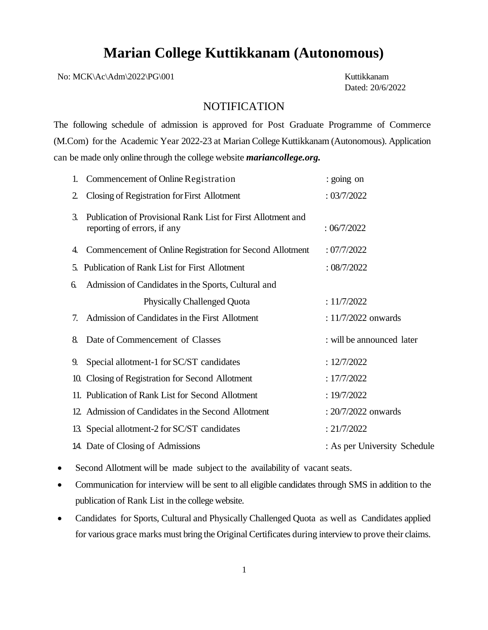## **Marian College Kuttikkanam (Autonomous)**

No: MCK\Ac\Adm\2022\PG\001 Kuttikkanam

Dated: 20/6/2022

## **NOTIFICATION**

The following schedule of admission is approved for Post Graduate Programme of Commerce (M.Com) for the Academic Year 2022-23 at Marian College Kuttikkanam (Autonomous). Application can be made only online through the college website *mariancollege.org.*

| Commencement of Online Registration<br>1.                                                         | : going on                   |
|---------------------------------------------------------------------------------------------------|------------------------------|
| Closing of Registration for First Allotment<br>$\overline{2}$                                     | : 03/7/2022                  |
| Publication of Provisional Rank List for First Allotment and<br>3.<br>reporting of errors, if any | :06/7/2022                   |
| Commencement of Online Registration for Second Allotment<br>4.                                    | :07/7/2022                   |
| <b>Publication of Rank List for First Allotment</b><br>5.                                         | : 08/7/2022                  |
| Admission of Candidates in the Sports, Cultural and<br>6.                                         |                              |
| <b>Physically Challenged Quota</b>                                                                | : 11/7/2022                  |
| Admission of Candidates in the First Allotment<br>7.                                              | : $11/7/2022$ onwards        |
| Date of Commencement of Classes<br>8.                                                             | : will be announced later    |
| Special allotment-1 for SC/ST candidates<br>9.                                                    | : 12/7/2022                  |
| Closing of Registration for Second Allotment<br>10.                                               | : 17/7/2022                  |
| 11. Publication of Rank List for Second Allotment                                                 | : 19/7/2022                  |
| 12. Admission of Candidates in the Second Allotment                                               | : $20/7/2022$ onwards        |
| 13. Special allotment-2 for SC/ST candidates                                                      | : 21/7/2022                  |
| 14. Date of Closing of Admissions                                                                 | : As per University Schedule |

- Second Allotment will be made subject to the availability of vacant seats.
- Communication for interview will be sent to all eligible candidates through SMS in addition to the publication of Rank List in the college website.
- Candidates for Sports, Cultural and Physically Challenged Quota as well as Candidates applied for various grace marks must bring the Original Certificates during interview to prove their claims.